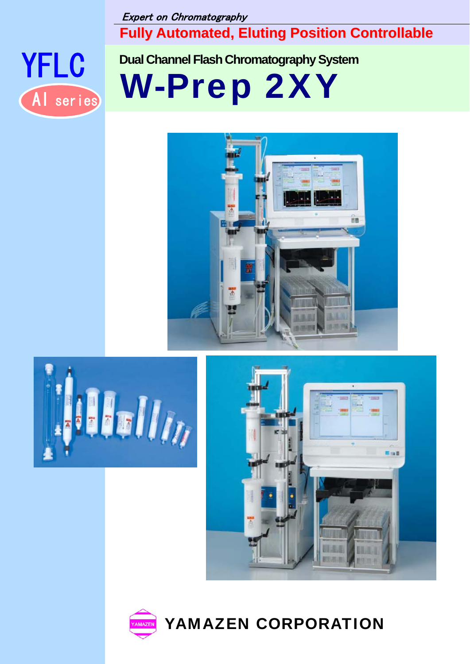Expert on Chromatography

**Fully Automated, Eluting Position Controllable**



YFLC **Dual Channel Flash Chromatography System**

AI series **W-Prep 2XY** 









YAMAZEN CORPORATION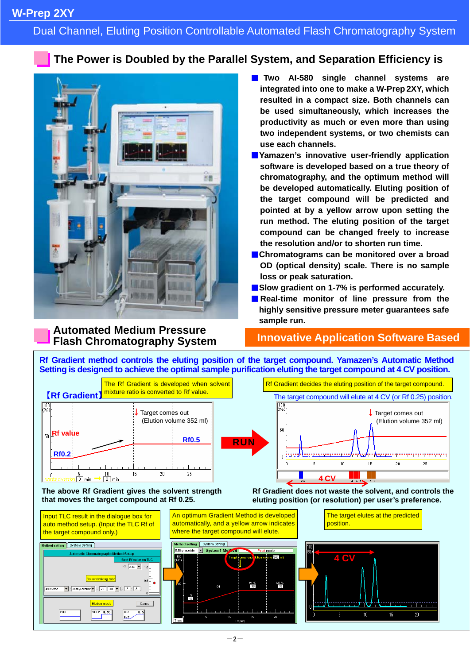## Dual Channel, Eluting Position Controllable Automated Flash Chromatography System

## **The Power is Doubled by the Parallel System, and Separation Efficiency is**



**integrated into one to make a W-Prep 2XY, which resulted in a compact size. Both channels can be used simultaneously, which increases the productivity as much or even more than using two independent systems, or two chemists can use each channels.**  ■**Yamazen's innovative user-friendly application** 

■ **Two AI-580 single channel systems are** 

- **software is developed based on a true theory of chromatography, and the optimum method will be developed automatically. Eluting position of the target compound will be predicted and pointed at by a yellow arrow upon setting the run method. The eluting position of the target compound can be changed freely to increase the resolution and/or to shorten run time.**
- Chromatograms can be monitored over a broad **OD (optical density) scale. There is no sample loss or peak saturation.**
- Slow gradient on 1-7% is performed accurately.
- **Real-time monitor of line pressure from the highly sensitive pressure meter guarantees safe sample run.**

## **Automated Medium Pressure Flash Chromatography System**

## **Innovative Application Software Based**

**Rf Gradient method controls the eluting position of the target compound. Yamazen's Automatic Method Setting is designed to achieve the optimal sample purification eluting the target compound at 4 CV position.** 



#### **The above Rf Gradient gives the solvent strength that moves the target compound at Rf 0.25.**

**Rf Gradient does not waste the solvent, and controls the eluting position (or resolution) per user's preference.** 

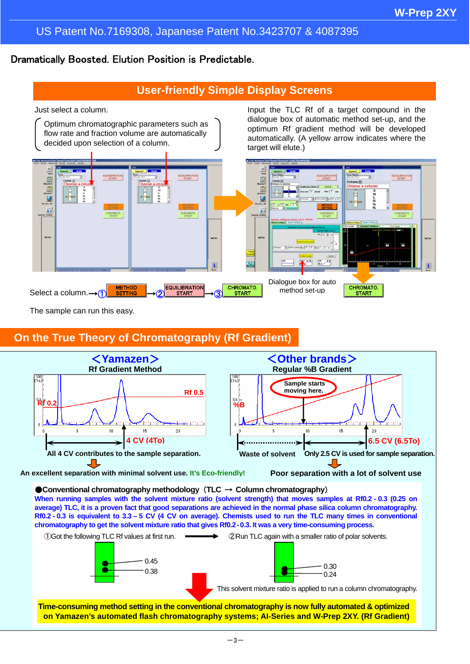## US Patent No.7169308, Japanese Patent No.3423707 & 4087395

## Dramatically Boosted. Elution Position is Predictable.

## **User-friendly Simple Display Screens**



The sample can run this easy.

## **On the True Theory of Chromatography (Rf Gradient)**



●**Conventional chromatography methodology** (**TLC** → **Column chromatography**) **When running samples with the solvent mixture ratio (solvent strength) that moves samples at Rf0.2 - 0.3 (0.25 on average) TLC, it is a proven fact that good separations are achieved in the normal phase silica column chromatography. Rf0.2 - 0.3 is equivalent to 3.3 – 5 CV (4 CV on average). Chemists used to run the TLC many times in conventional chromatography to get the solvent mixture ratio that gives Rf0.2-0.3. It was a very time-consuming process.**



**on Yamazen's automated flash chromatography systems; AI-Series and W-Prep 2XY. (Rf Gradient)**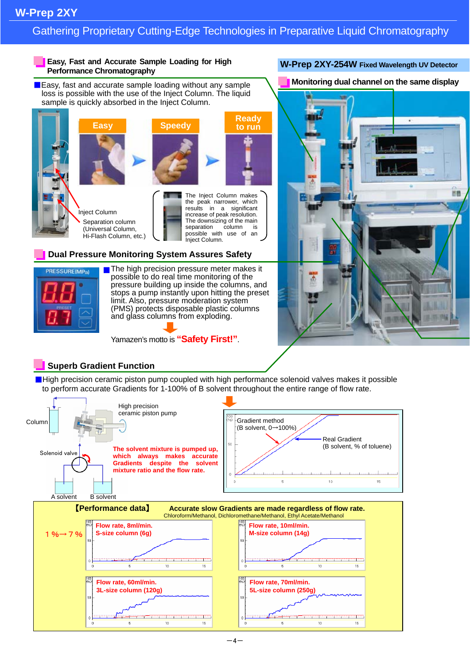## Gathering Proprietary Cutting-Edge Technologies in Preparative Liquid Chromatography

#### **Easy, Fast and Accurate Sample Loading for High Performance Chromatography**

■ Easy, fast and accurate sample loading without any sample loss is possible with the use of the Inject Column. The liquid sample is quickly absorbed in the Inject Column.







The Inject Column makes the peak narrower, which results in a significant increase of peak resolution. The downsizing of the main separation column is possible with use of an Inject Column.

#### **Dual Pressure Monitoring System Assures Safety**



■ The high precision pressure meter makes it possible to do real time monitoring of the pressure building up inside the columns, and stops a pump instantly upon hitting the preset limit. Also, pressure moderation system (PMS) protects disposable plastic columns and glass columns from exploding.

Yamazen's motto is **"Safety First!"**.

## **W-Prep 2XY-254W Fixed Wavelength UV Detector**

**Monitoring dual channel on the same display**



## **Superb Gradient Function**

■High precision ceramic piston pump coupled with high performance solenoid valves makes it possible to perform accurate Gradients for 1-100% of B solvent throughout the entire range of flow rate.

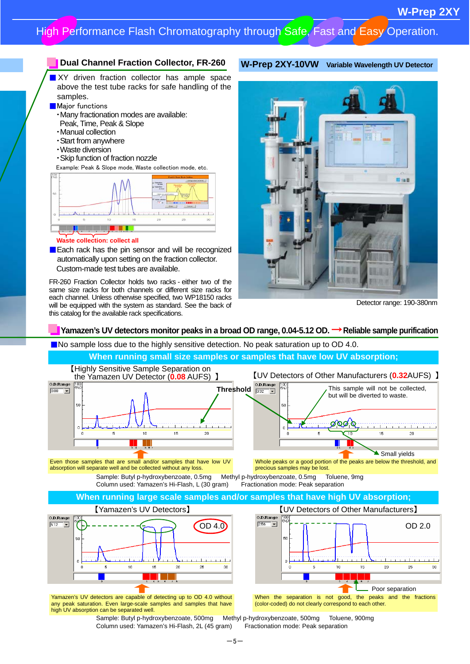### **Dual Channel Fraction Collector, FR-260**

**No. 23 No. 23 No. 24 No. 24 No. 24 No. 24 No. 24 No. 25 No. 25 No. 25 No. 25 No. 25 No. 25 No. 25 No. 25 No. 25 No. 25 No. 25 No. 25 No. 25 No. 25 No. 25 No. 25 No. 25 No. 25 No. 25 No. 25 No. 25 No. 25 No. 25 No. 25 No.** above the test tube racks for safe handling of the samples.

- **Major functions**
- ・Many fractionation modes are available:
- Peak, Time, Peak & Slope
- ・Manual collection
- ・Start from anywhere
- ・Waste diversion
- ・Skip function of fraction nozzle
- Example: Peak & Slope mode, Waste collection mode, etc.



#### **Waste collection: collect all**

**Each rack has the pin sensor and will be recognized** automatically upon setting on the fraction collector. Custom-made test tubes are available.

FR-260 Fraction Collector holds two racks - either two of the same size racks for both channels or different size racks for each channel. Unless otherwise specified, two WP18150 racks will be equipped with the system as standard. See the back of this catalog for the available rack specifications.



**W-Prep 2XY-10VW Variable Wavelength UV Detector**

Detector range: 190-380nm

#### **Yamazen's UV detectors monitor peaks in a broad OD range, 0.04-5.12 OD. → Reliable sample purification**

■No sample loss due to the highly sensitive detection. No peak saturation up to OD 4.0.



Sample: Butyl p-hydroxybenzoate, 500mg Methyl p-hydroxybenzoate, 500mg Toluene, 900mg Column used: Yamazen's Hi-Flash, 2L (45 gram) Fractionation mode: Peak separation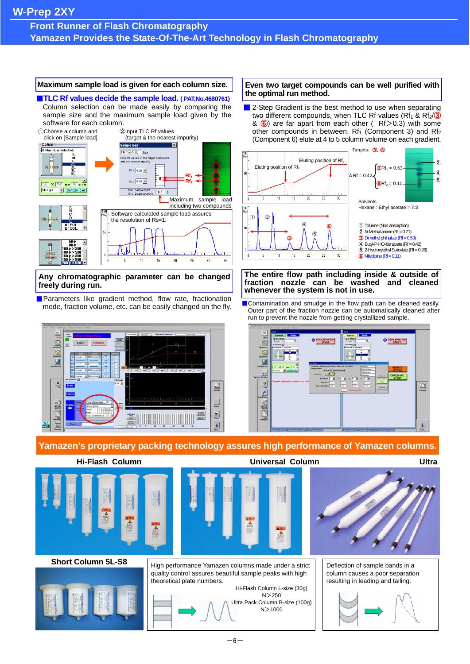## **Front Runner of Flash Chromatography Yamazen Provides the State-Of-The-Art Technology in Flash Chromatography**

#### **Maximum sample load is given for each column size.**

■**TLC Rf values decide the sample load.** (PAT.No.4680761) Column selection can be made easily by comparing the sample size and the maximum sample load given by the software for each column.



#### **Any chromatographic parameter can be changed freely during run.**

■ Parameters like gradient method, flow rate, fractionation



#### **Even two target compounds can be well purified with the optimal run method.**

■ 2-Step Gradient is the best method to use when separating two different compounds, when TLC Rf values (Rf<sub>1</sub> & Rf<sub>2</sub>/<sup>3</sup>) &  $\bigcirc$  are far apart from each other (Rf > 0.3) with some other compounds in between. Rf<sub>1</sub> (Component 3) and Rf<sub>2</sub> (Component 6) elute at 4 to 5 column volume on each gradient.



#### **The entire flow path including inside & outside of fraction nozzle can be washed and cleaned whenever the system is not in use.**

mode, fraction volume, etc. can be easily changed on the fly. ■Contamination and smudge in the flow path can be cleaned easily. Outer part of the fraction nozzle can be automatically cleaned after run to prevent the nozzle from getting crystallized sample.



## **Yamazen's proprietary packing technology assures high performance of Yamazen columns.**





#### **Short Column 5L-S8**



Hi-Flash Column L-size (30g)  $N > 250$ Ultra Pack Column B-size (100g)  $N > 1000$ 



Deflection of sample bands in a column causes a poor separation resulting in leading and tailing.



High performance Yamazen columns made under a strict quality control assures beautiful sample peaks with high

theoretical plate numbers.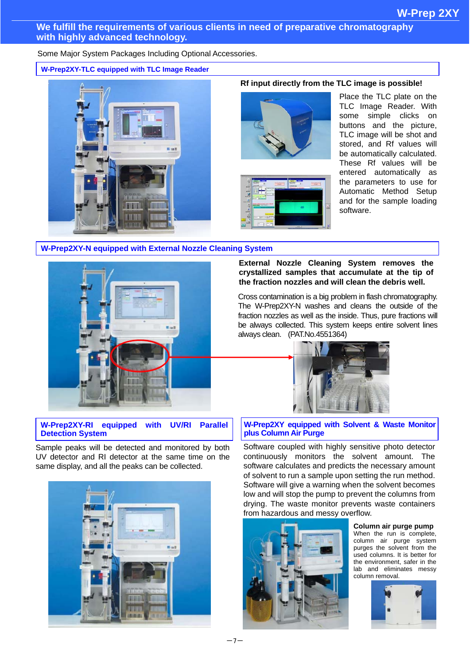#### **We fulfill the requirements of various clients in need of preparative chromatography with highly advanced technology.**

Some Major System Packages Including Optional Accessories.

**W-Prep2XY-TLC equipped with TLC Image Reader**



### **Rf input directly from the TLC image is possible!**





Place the TLC plate on the TLC Image Reader. With some simple clicks on buttons and the picture, TLC image will be shot and stored, and Rf values will be automatically calculated. These Rf values will be entered automatically as the parameters to use for Automatic Method Setup and for the sample loading software.

#### **W-Prep2XY-N equipped with External Nozzle Cleaning System**



## **External Nozzle Cleaning System removes the crystallized samples that accumulate at the tip of the fraction nozzles and will clean the debris well.**

Cross contamination is a big problem in flash chromatography. The W-Prep2XY-N washes and cleans the outside of the fraction nozzles as well as the inside. Thus, pure fractions will be always collected. This system keeps entire solvent lines always clean. (PAT.No.4551364)



#### **plus Column Air Purge of the System in the Column Air Purge of the System in the Library of the Library of the Library of the Library of the Library of the Library of the Library of the Library of the Library of the Libra W-Prep2XY-RI equipped with UV/RI Parallel Detection System**

Sample peaks will be detected and monitored by both UV detec tor and RI detector at the same time on the same display, and all the peaks can be collected.



# **W-Prep2XY equipped with Solvent & Waste Monitor**

Software coupled with highly sensitive photo detector continuously monitors the solvent amount. The software calculates and predicts the necessary amount of solvent to run a sample upon setting the run method. Software will give a warning when the solvent becomes low and will stop the pump to prevent the columns from drying. The waste monitor prevents waste containers from hazardous and messy overflow.



**Column air purge pump** When the run is complete. column air purge system purges the solvent from the used columns. It is better for the environment, safer in the lab and eliminates messy column removal.